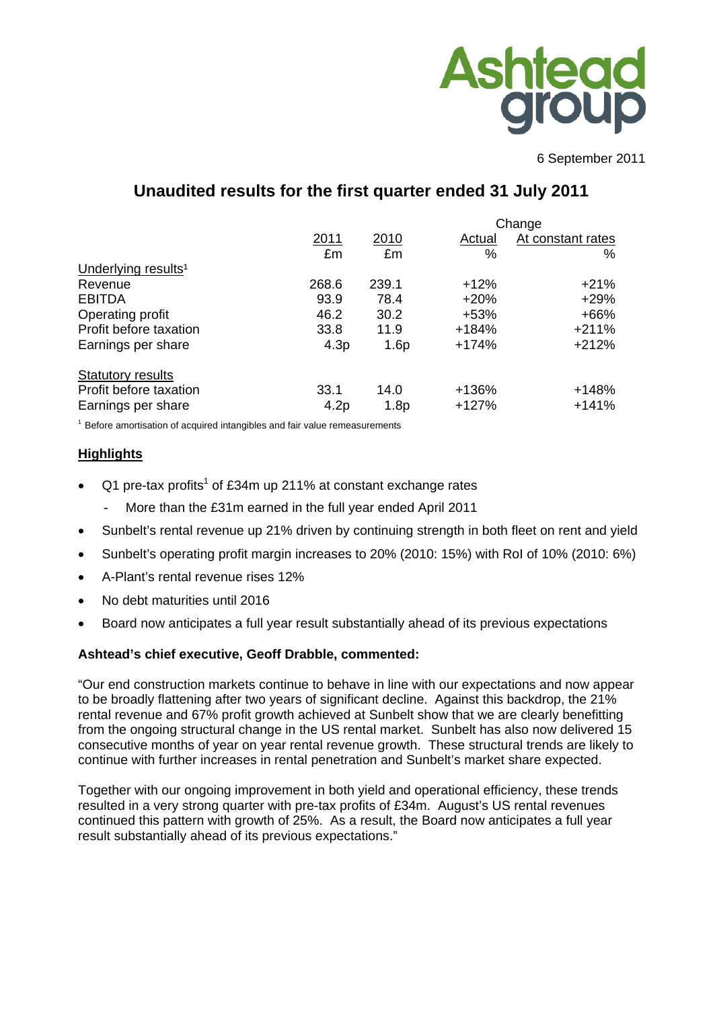

6 September 2011

# **Unaudited results for the first quarter ended 31 July 2011**

|                                 |                  | Change           |         |                   |  |  |
|---------------------------------|------------------|------------------|---------|-------------------|--|--|
|                                 | 2011             | 2010             | Actual  | At constant rates |  |  |
|                                 | £m               | £m               | %       | %                 |  |  |
| Underlying results <sup>1</sup> |                  |                  |         |                   |  |  |
| Revenue                         | 268.6            | 239.1            | $+12%$  | $+21%$            |  |  |
| <b>EBITDA</b>                   | 93.9             | 78.4             | $+20%$  | $+29%$            |  |  |
| Operating profit                | 46.2             | 30.2             | $+53%$  | $+66%$            |  |  |
| Profit before taxation          | 33.8             | 11.9             | $+184%$ | $+211%$           |  |  |
| Earnings per share              | 4.3 <sub>p</sub> | 1.6p             | $+174%$ | $+212%$           |  |  |
| <b>Statutory results</b>        |                  |                  |         |                   |  |  |
| Profit before taxation          | 33.1             | 14.0             | +136%   | $+148%$           |  |  |
| Earnings per share              | 4.2p             | 1.8 <sub>p</sub> | $+127%$ | $+141%$           |  |  |

 $1$  Before amortisation of acquired intangibles and fair value remeasurements

#### **Highlights**

- Q1 pre-tax profits<sup>1</sup> of £34m up 211% at constant exchange rates
	- More than the £31m earned in the full year ended April 2011
- Sunbelt's rental revenue up 21% driven by continuing strength in both fleet on rent and yield
- Sunbelt's operating profit margin increases to 20% (2010: 15%) with RoI of 10% (2010: 6%)
- A-Plant's rental revenue rises 12%
- No debt maturities until 2016
- Board now anticipates a full year result substantially ahead of its previous expectations

#### **Ashtead's chief executive, Geoff Drabble, commented:**

"Our end construction markets continue to behave in line with our expectations and now appear to be broadly flattening after two years of significant decline. Against this backdrop, the 21% rental revenue and 67% profit growth achieved at Sunbelt show that we are clearly benefitting from the ongoing structural change in the US rental market. Sunbelt has also now delivered 15 consecutive months of year on year rental revenue growth. These structural trends are likely to continue with further increases in rental penetration and Sunbelt's market share expected.

Together with our ongoing improvement in both yield and operational efficiency, these trends resulted in a very strong quarter with pre-tax profits of £34m. August's US rental revenues continued this pattern with growth of 25%. As a result, the Board now anticipates a full year result substantially ahead of its previous expectations."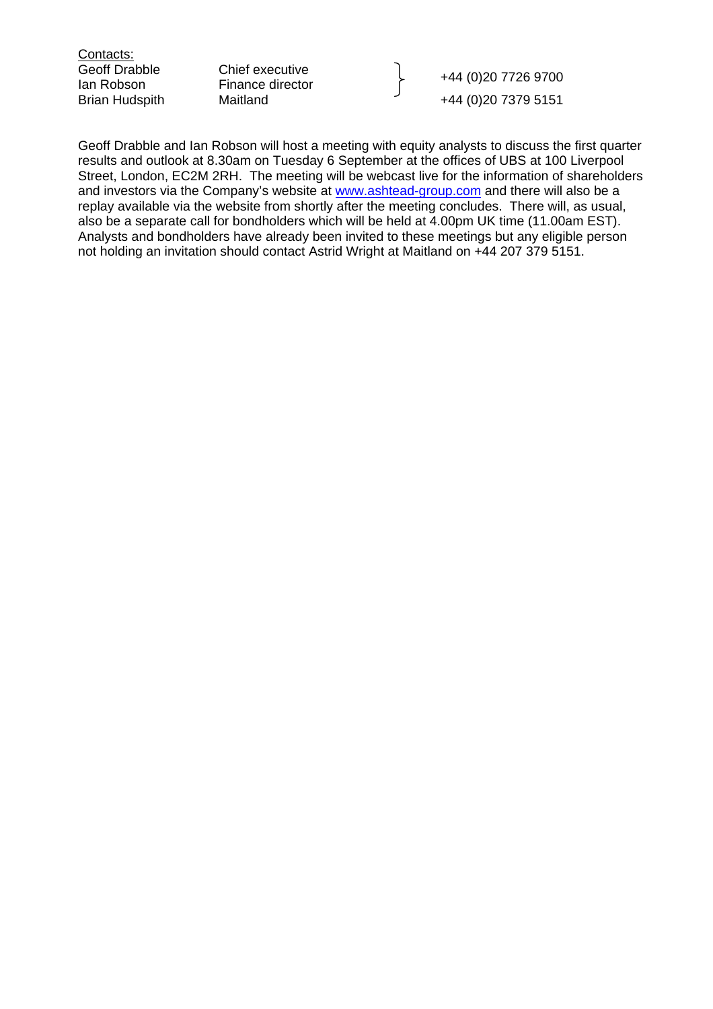Contacts:

Geoff Drabble Chief executive

Geon Drappie Criter executive<br>
Ian Robson Finance director Theory<br>
Brian Hudspith Maitland Maitland +44 (0)20 7379 5151 +44 (0)20 7379 5151

Geoff Drabble and Ian Robson will host a meeting with equity analysts to discuss the first quarter results and outlook at 8.30am on Tuesday 6 September at the offices of UBS at 100 Liverpool Street, London, EC2M 2RH. The meeting will be webcast live for the information of shareholders and investors via the Company's website at [www.ashtead-group.com](http://www.ashtead-group.com/) and there will also be a replay available via the website from shortly after the meeting concludes. There will, as usual, also be a separate call for bondholders which will be held at 4.00pm UK time (11.00am EST). Analysts and bondholders have already been invited to these meetings but any eligible person not holding an invitation should contact Astrid Wright at Maitland on +44 207 379 5151.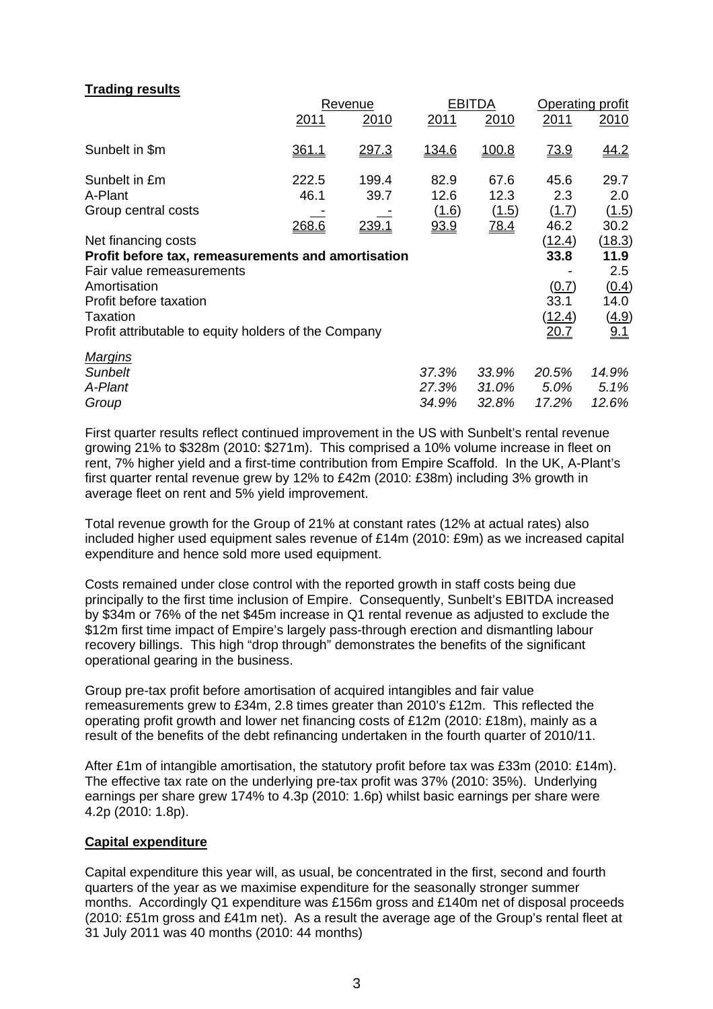## **Trading results**

|                                                      |       | Revenue      |              | EBITDA      | Operating profit |        |
|------------------------------------------------------|-------|--------------|--------------|-------------|------------------|--------|
|                                                      | 2011  | 2010         | 2011         | 2010        | 2011             | 2010   |
| Sunbelt in \$m                                       | 361.1 | 297.3        | <u>134.6</u> | 100.8       | <u>73.9</u>      | 44.2   |
| Sunbelt in £m                                        | 222.5 | 199.4        | 82.9         | 67.6        | 45.6             | 29.7   |
| A-Plant                                              | 46.1  | 39.7         | 12.6         | 12.3        | 2.3              | 2.0    |
| Group central costs                                  |       |              | (1.6)        | (1.5)       | (1.7)            | (1.5)  |
|                                                      | 268.6 | <u>239.1</u> | 93.9         | <u>78.4</u> | 46.2             | 30.2   |
| Net financing costs                                  |       |              |              |             | (12.4)           | (18.3) |
| Profit before tax, remeasurements and amortisation   |       |              |              |             | 33.8             | 11.9   |
| Fair value remeasurements                            |       |              |              |             |                  | 2.5    |
| Amortisation                                         |       |              |              |             | (0.7)            | (0.4)  |
| Profit before taxation                               |       |              |              |             | 33.1             | 14.0   |
| <b>Taxation</b>                                      |       |              |              |             | <u>(12.4)</u>    | (4.9)  |
| Profit attributable to equity holders of the Company |       |              |              |             | 20.7             | 9.1    |
| <b>Margins</b>                                       |       |              |              |             |                  |        |
| <b>Sunbelt</b>                                       |       |              | 37.3%        | 33.9%       | 20.5%            | 14.9%  |
| A-Plant                                              |       |              | 27.3%        | 31.0%       | 5.0%             | 5.1%   |
| Group                                                |       |              | 34.9%        | 32.8%       | 17.2%            | 12.6%  |

First quarter results reflect continued improvement in the US with Sunbelt's rental revenue growing 21% to \$328m (2010: \$271m). This comprised a 10% volume increase in fleet on rent, 7% higher yield and a first-time contribution from Empire Scaffold. In the UK, A-Plant's first quarter rental revenue grew by 12% to £42m (2010: £38m) including 3% growth in average fleet on rent and 5% yield improvement.

Total revenue growth for the Group of 21% at constant rates (12% at actual rates) also included higher used equipment sales revenue of £14m (2010: £9m) as we increased capital expenditure and hence sold more used equipment.

Costs remained under close control with the reported growth in staff costs being due principally to the first time inclusion of Empire. Consequently, Sunbelt's EBITDA increased by \$34m or 76% of the net \$45m increase in Q1 rental revenue as adjusted to exclude the \$12m first time impact of Empire's largely pass-through erection and dismantling labour recovery billings. This high "drop through" demonstrates the benefits of the significant operational gearing in the business.

Group pre-tax profit before amortisation of acquired intangibles and fair value remeasurements grew to £34m, 2.8 times greater than 2010's £12m. This reflected the operating profit growth and lower net financing costs of £12m (2010: £18m), mainly as a result of the benefits of the debt refinancing undertaken in the fourth quarter of 2010/11.

After £1m of intangible amortisation, the statutory profit before tax was £33m (2010: £14m). The effective tax rate on the underlying pre-tax profit was 37% (2010: 35%). Underlying earnings per share grew 174% to 4.3p (2010: 1.6p) whilst basic earnings per share were 4.2p (2010: 1.8p).

#### **Capital expenditure**

Capital expenditure this year will, as usual, be concentrated in the first, second and fourth quarters of the year as we maximise expenditure for the seasonally stronger summer months. Accordingly Q1 expenditure was £156m gross and £140m net of disposal proceeds (2010: £51m gross and £41m net). As a result the average age of the Group's rental fleet at 31 July 2011 was 40 months (2010: 44 months)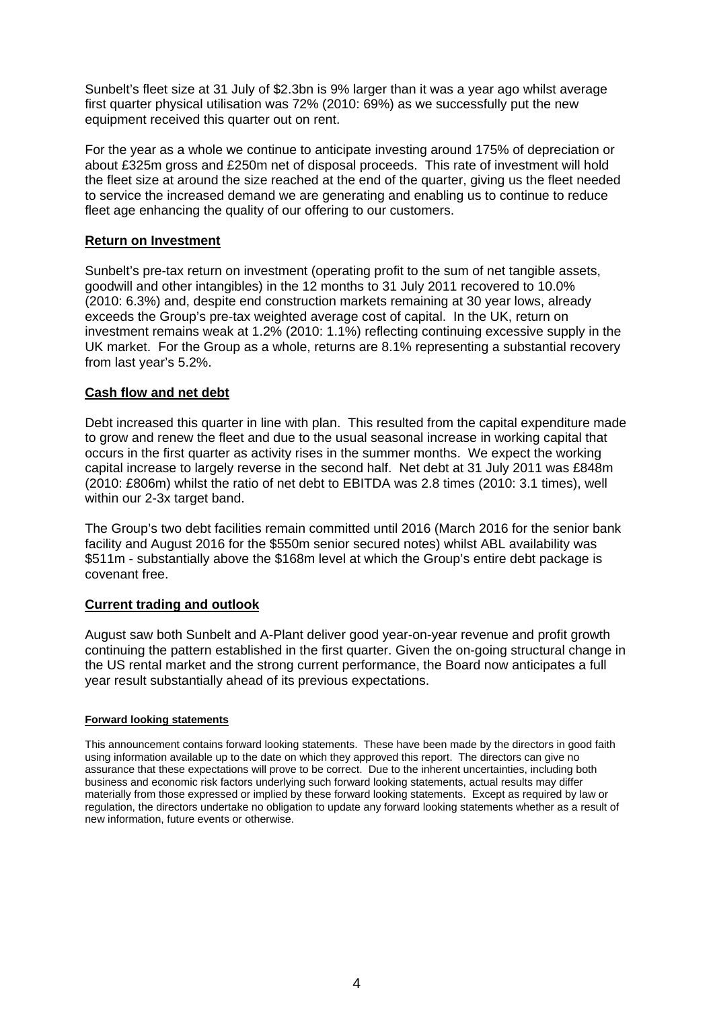Sunbelt's fleet size at 31 July of \$2.3bn is 9% larger than it was a year ago whilst average first quarter physical utilisation was 72% (2010: 69%) as we successfully put the new equipment received this quarter out on rent.

For the year as a whole we continue to anticipate investing around 175% of depreciation or about £325m gross and £250m net of disposal proceeds. This rate of investment will hold the fleet size at around the size reached at the end of the quarter, giving us the fleet needed to service the increased demand we are generating and enabling us to continue to reduce fleet age enhancing the quality of our offering to our customers.

## **Return on Investment**

Sunbelt's pre-tax return on investment (operating profit to the sum of net tangible assets, goodwill and other intangibles) in the 12 months to 31 July 2011 recovered to 10.0% (2010: 6.3%) and, despite end construction markets remaining at 30 year lows, already exceeds the Group's pre-tax weighted average cost of capital. In the UK, return on investment remains weak at 1.2% (2010: 1.1%) reflecting continuing excessive supply in the UK market. For the Group as a whole, returns are 8.1% representing a substantial recovery from last year's 5.2%.

#### **Cash flow and net debt**

Debt increased this quarter in line with plan. This resulted from the capital expenditure made to grow and renew the fleet and due to the usual seasonal increase in working capital that occurs in the first quarter as activity rises in the summer months. We expect the working capital increase to largely reverse in the second half. Net debt at 31 July 2011 was £848m (2010: £806m) whilst the ratio of net debt to EBITDA was 2.8 times (2010: 3.1 times), well within our 2-3x target band.

The Group's two debt facilities remain committed until 2016 (March 2016 for the senior bank facility and August 2016 for the \$550m senior secured notes) whilst ABL availability was \$511m - substantially above the \$168m level at which the Group's entire debt package is covenant free.

#### **Current trading and outlook**

August saw both Sunbelt and A-Plant deliver good year-on-year revenue and profit growth continuing the pattern established in the first quarter. Given the on-going structural change in the US rental market and the strong current performance, the Board now anticipates a full year result substantially ahead of its previous expectations.

#### **Forward looking statements**

This announcement contains forward looking statements. These have been made by the directors in good faith using information available up to the date on which they approved this report. The directors can give no assurance that these expectations will prove to be correct. Due to the inherent uncertainties, including both business and economic risk factors underlying such forward looking statements, actual results may differ materially from those expressed or implied by these forward looking statements. Except as required by law or regulation, the directors undertake no obligation to update any forward looking statements whether as a result of new information, future events or otherwise.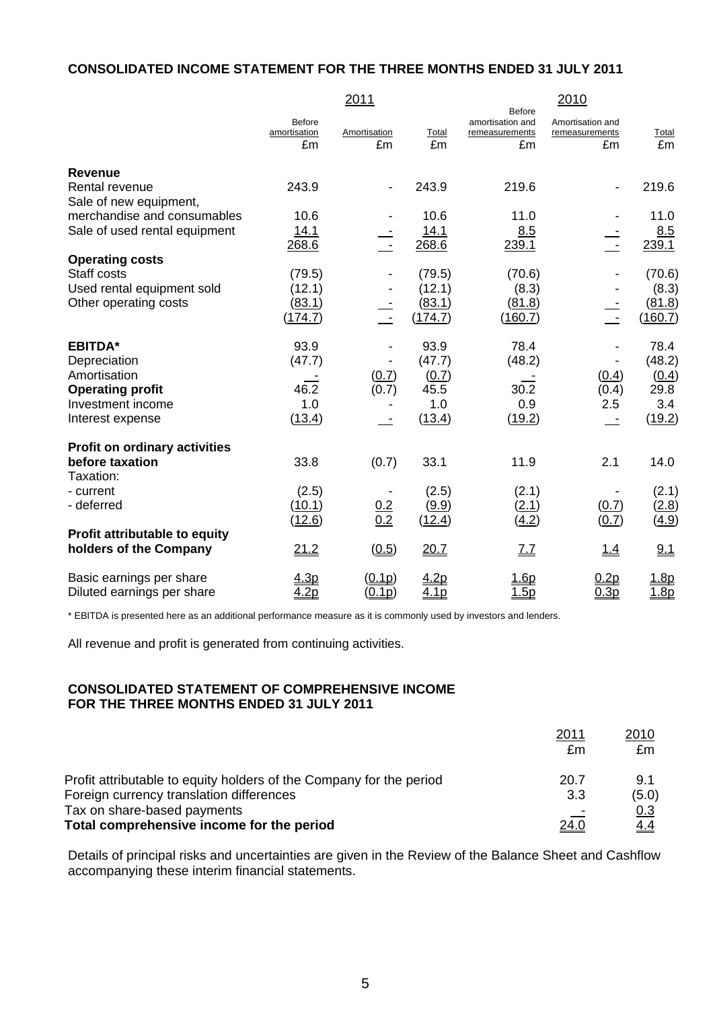#### **CONSOLIDATED INCOME STATEMENT FOR THE THREE MONTHS ENDED 31 JULY 2011**

|                                          |                                     | 2011               |                  |                                                           | 2010                                     |              |
|------------------------------------------|-------------------------------------|--------------------|------------------|-----------------------------------------------------------|------------------------------------------|--------------|
|                                          | <b>Before</b><br>amortisation<br>£m | Amortisation<br>£m | Total<br>£m      | <b>Before</b><br>amortisation and<br>remeasurements<br>£m | Amortisation and<br>remeasurements<br>£m | Total<br>£m  |
| <b>Revenue</b>                           |                                     |                    |                  |                                                           |                                          |              |
| Rental revenue<br>Sale of new equipment, | 243.9                               |                    | 243.9            | 219.6                                                     |                                          | 219.6        |
| merchandise and consumables              | 10.6                                |                    | 10.6             | 11.0                                                      |                                          | 11.0         |
| Sale of used rental equipment            | 14.1                                |                    | 14.1             | 8.5                                                       |                                          | 8.5          |
|                                          | 268.6                               |                    | 268.6            | 239.1                                                     |                                          | 239.1        |
| <b>Operating costs</b>                   |                                     |                    |                  |                                                           |                                          |              |
| Staff costs                              | (79.5)                              |                    | (79.5)           | (70.6)                                                    |                                          | (70.6)       |
| Used rental equipment sold               | (12.1)                              |                    | (12.1)           | (8.3)                                                     |                                          | (8.3)        |
| Other operating costs                    | (83.1)                              |                    | (83.1)           | (81.8)                                                    |                                          | (81.8)       |
|                                          | (174.7)                             | $\mathcal{A}$      | (174.7)          | (160.7)                                                   | $\sim$                                   | (160.7)      |
| <b>EBITDA*</b>                           | 93.9                                |                    | 93.9             | 78.4                                                      |                                          | 78.4         |
| Depreciation                             | (47.7)                              |                    | (47.7)           | (48.2)                                                    |                                          | (48.2)       |
| Amortisation                             |                                     | (0.7)              | (0.7)            |                                                           | (0.4)                                    | (0.4)        |
| <b>Operating profit</b>                  | 46.2                                | (0.7)              | 45.5             | 30.2                                                      | (0.4)                                    | 29.8         |
| Investment income                        | 1.0                                 |                    | 1.0              | 0.9                                                       | 2.5                                      | 3.4          |
| Interest expense                         | (13.4)                              |                    | (13.4)           | (19.2)                                                    |                                          | (19.2)       |
| <b>Profit on ordinary activities</b>     |                                     |                    |                  |                                                           |                                          |              |
| before taxation                          | 33.8                                | (0.7)              | 33.1             | 11.9                                                      | 2.1                                      | 14.0         |
| Taxation:                                |                                     |                    |                  |                                                           |                                          |              |
| - current                                | (2.5)                               |                    | (2.5)            | (2.1)                                                     |                                          | (2.1)        |
| - deferred                               | (10.1)                              | $\frac{0.2}{0.2}$  | (9.9)            | (2.1)                                                     | (0.7)                                    | (2.8)        |
|                                          | (12.6)                              |                    | (12.4)           | (4.2)                                                     | (0.7)                                    | <u>(4.9)</u> |
| Profit attributable to equity            |                                     |                    |                  |                                                           |                                          |              |
| holders of the Company                   | 21.2                                | (0.5)              | <u>20.7</u>      | <u> 7.7</u>                                               | <u> 1.4</u>                              | 9.1          |
| Basic earnings per share                 | 4.3p                                | (0.1p)             | 4.2p             | <u> 1.6p</u>                                              | 0.2p                                     | <u>.8p</u>   |
| Diluted earnings per share               | 4.2p                                | (0.1p)             | 4.1 <sub>p</sub> | 1.5 <sub>D</sub>                                          | 0.3p                                     | 1.8p         |

\* EBITDA is presented here as an additional performance measure as it is commonly used by investors and lenders.

All revenue and profit is generated from continuing activities.

#### **CONSOLIDATED STATEMENT OF COMPREHENSIVE INCOME FOR THE THREE MONTHS ENDED 31 JULY 2011**

|                                                                     | 2011 | 2010  |
|---------------------------------------------------------------------|------|-------|
|                                                                     | £m   | £m    |
| Profit attributable to equity holders of the Company for the period | 20.7 | 9.1   |
| Foreign currency translation differences                            | 3.3  | (5.0) |
| Tax on share-based payments                                         |      | 0.3   |
| Total comprehensive income for the period                           | 24.0 | 4.4   |

Details of principal risks and uncertainties are given in the Review of the Balance Sheet and Cashflow accompanying these interim financial statements.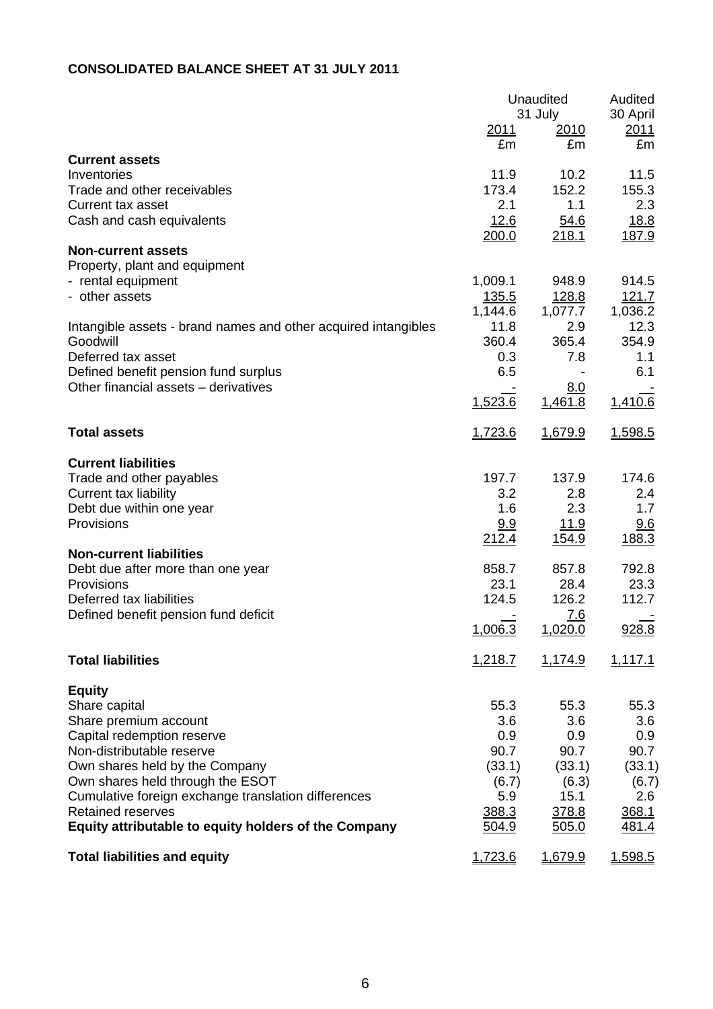# **CONSOLIDATED BALANCE SHEET AT 31 JULY 2011**

|                                                                  | <u>2011</u>             | Unaudited<br>31 July<br>2010 | Audited<br>30 April<br><u> 2011 </u> |
|------------------------------------------------------------------|-------------------------|------------------------------|--------------------------------------|
|                                                                  | £m                      | £m                           | £m                                   |
| <b>Current assets</b><br>Inventories                             | 11.9                    | 10.2                         | 11.5                                 |
| Trade and other receivables                                      | 173.4                   | 152.2                        | 155.3                                |
| Current tax asset                                                | 2.1<br>12.6             | 1.1                          | 2.3<br>18.8                          |
| Cash and cash equivalents                                        | 200.0                   | 54.6<br>218.1                | 187.9                                |
| <b>Non-current assets</b>                                        |                         |                              |                                      |
| Property, plant and equipment                                    |                         |                              |                                      |
| - rental equipment<br>- other assets                             | 1,009.1                 | 948.9                        | 914.5<br>121.7                       |
|                                                                  | <u>135.5</u><br>1,144.6 | 128.8<br>1,077.7             | 1,036.2                              |
| Intangible assets - brand names and other acquired intangibles   | 11.8                    | 2.9                          | 12.3                                 |
| Goodwill                                                         | 360.4                   | 365.4                        | 354.9                                |
| Deferred tax asset                                               | 0.3                     | 7.8                          | 1.1                                  |
| Defined benefit pension fund surplus                             | 6.5                     |                              | 6.1                                  |
| Other financial assets - derivatives                             | 1,523.6                 | <u>8.0</u><br>1,461.8        | 1,410.6                              |
| <b>Total assets</b>                                              | 1,723.6                 | 1,679.9                      | 1,598.5                              |
| <b>Current liabilities</b>                                       |                         |                              |                                      |
| Trade and other payables                                         | 197.7                   | 137.9                        | 174.6                                |
| <b>Current tax liability</b>                                     | 3.2                     | 2.8                          | 2.4                                  |
| Debt due within one year                                         | 1.6                     | 2.3                          | 1.7                                  |
| Provisions                                                       | <u>9.9</u><br>212.4     | <u> 11.9</u><br>154.9        | 9.6<br>188.3                         |
| <b>Non-current liabilities</b>                                   |                         |                              |                                      |
| Debt due after more than one year                                | 858.7                   | 857.8                        | 792.8                                |
| Provisions                                                       | 23.1                    | 28.4                         | 23.3                                 |
| Deferred tax liabilities<br>Defined benefit pension fund deficit | 124.5                   | 126.2<br>7.6                 | 112.7                                |
|                                                                  | 1,006.3                 | 1,020.0                      | 928.8                                |
| <b>Total liabilities</b>                                         | 1,218.7                 | 1,174.9                      | 1,117.1                              |
| <b>Equity</b>                                                    |                         |                              |                                      |
| Share capital                                                    | 55.3                    | 55.3                         | 55.3                                 |
| Share premium account                                            | 3.6                     | 3.6                          | 3.6                                  |
| Capital redemption reserve                                       | 0.9                     | 0.9                          | 0.9                                  |
| Non-distributable reserve<br>Own shares held by the Company      | 90.7<br>(33.1)          | 90.7<br>(33.1)               | 90.7<br>(33.1)                       |
| Own shares held through the ESOT                                 | (6.7)                   | (6.3)                        | (6.7)                                |
| Cumulative foreign exchange translation differences              | 5.9                     | 15.1                         | 2.6                                  |
| <b>Retained reserves</b>                                         | 388.3                   | 378.8                        | 368.1                                |
| Equity attributable to equity holders of the Company             | 504.9                   | 505.0                        | <u>481.4</u>                         |
| <b>Total liabilities and equity</b>                              | 1,723.6                 | 1,679.9                      | 1,598.5                              |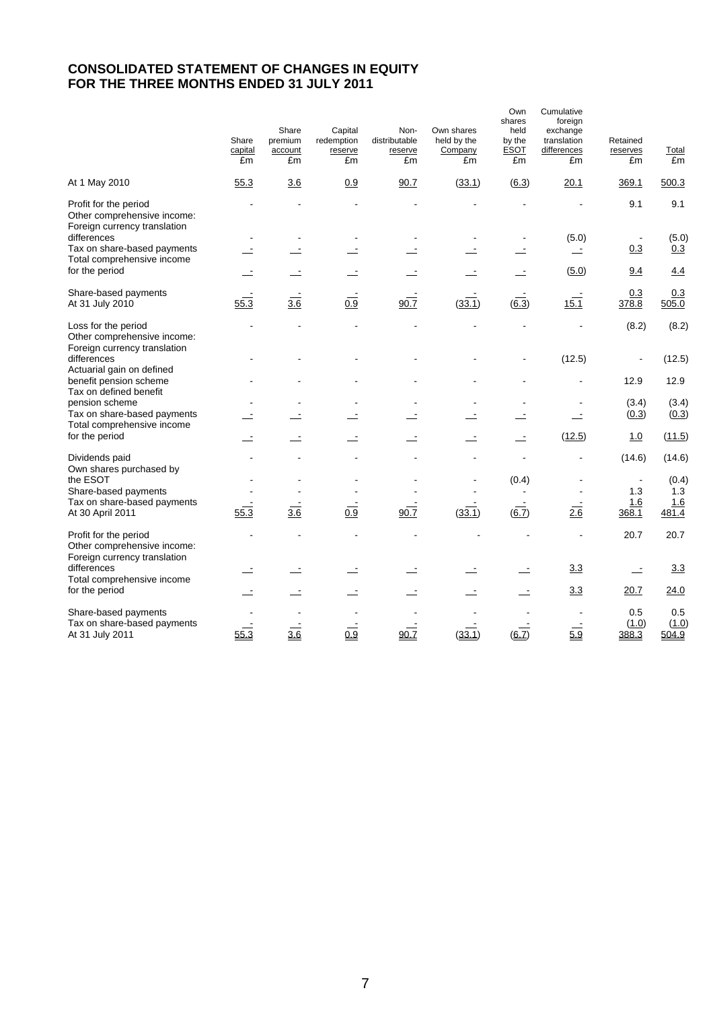# **CONSOLIDATED STATEMENT OF CHANGES IN EQUITY FOR THE THREE MONTHS ENDED 31 JULY 2011**

|                                                                                      | Share<br>capital<br>£m | Share<br>premium<br>account<br>£m | Capital<br>redemption<br>reserve<br>£m | Non-<br>distributable<br>reserve<br>£m | Own shares<br>held by the<br>Company<br>£m | Own<br>shares<br>held<br>by the<br><b>ESOT</b><br>£m | Cumulative<br>foreign<br>exchange<br>translation<br>differences<br>£m | Retained<br>reserves<br>£m | <b>Total</b><br>£m |
|--------------------------------------------------------------------------------------|------------------------|-----------------------------------|----------------------------------------|----------------------------------------|--------------------------------------------|------------------------------------------------------|-----------------------------------------------------------------------|----------------------------|--------------------|
| At 1 May 2010                                                                        | 55.3                   | 3.6                               | 0.9                                    | 90.7                                   | (33.1)                                     | (6.3)                                                | 20.1                                                                  | 369.1                      | 500.3              |
| Profit for the period<br>Other comprehensive income:<br>Foreign currency translation |                        |                                   |                                        |                                        |                                            |                                                      |                                                                       | 9.1                        | 9.1                |
| differences                                                                          |                        |                                   |                                        |                                        |                                            |                                                      | (5.0)                                                                 |                            | (5.0)              |
| Tax on share-based payments<br>Total comprehensive income                            | $\equiv$               |                                   |                                        |                                        | Ė                                          |                                                      |                                                                       | 0.3                        | 0.3                |
| for the period                                                                       | $\equiv$               |                                   |                                        |                                        |                                            |                                                      | (5.0)                                                                 | 9.4                        | 4.4                |
| Share-based payments<br>At 31 July 2010                                              | 55.3                   | $\overline{3.6}$                  | 0.9                                    | 90.7                                   | (33.1)                                     | $\overline{(6.3)}$                                   | 15.1                                                                  | 0.3<br>378.8               | 0.3<br>505.0       |
| Loss for the period<br>Other comprehensive income:                                   |                        |                                   |                                        |                                        |                                            |                                                      |                                                                       | (8.2)                      | (8.2)              |
| Foreign currency translation<br>differences                                          |                        |                                   |                                        |                                        |                                            |                                                      | (12.5)                                                                |                            | (12.5)             |
| Actuarial gain on defined<br>benefit pension scheme<br>Tax on defined benefit        |                        |                                   |                                        |                                        |                                            |                                                      |                                                                       | 12.9                       | 12.9               |
| pension scheme                                                                       |                        |                                   |                                        |                                        |                                            |                                                      |                                                                       | (3.4)                      | (3.4)              |
| Tax on share-based payments<br>Total comprehensive income                            |                        |                                   |                                        |                                        |                                            |                                                      |                                                                       | (0.3)                      | (0.3)              |
| for the period                                                                       | $\equiv$               | $\overline{\phantom{a}}$          |                                        | $\equiv$                               | Ż,                                         | $\overline{\phantom{a}}$                             | (12.5)                                                                | 1.0                        | (11.5)             |
| Dividends paid                                                                       |                        |                                   |                                        |                                        |                                            |                                                      |                                                                       | (14.6)                     | (14.6)             |
| Own shares purchased by<br>the ESOT                                                  |                        |                                   |                                        |                                        |                                            | (0.4)                                                |                                                                       | $\blacksquare$             | (0.4)              |
| Share-based payments                                                                 |                        |                                   |                                        |                                        |                                            |                                                      |                                                                       | 1.3                        | 1.3                |
| Tax on share-based payments                                                          |                        |                                   |                                        |                                        |                                            |                                                      |                                                                       | 1.6                        | 1.6                |
| At 30 April 2011                                                                     | 55.3                   | 3.6                               | 0.9                                    | 90.7                                   | (33.1)                                     | 6.7)                                                 | 2.6                                                                   | 368.1                      | 481.4              |
| Profit for the period<br>Other comprehensive income:<br>Foreign currency translation |                        |                                   |                                        |                                        |                                            |                                                      |                                                                       | 20.7                       | 20.7               |
| differences<br>Total comprehensive income                                            |                        |                                   |                                        |                                        |                                            |                                                      | 3.3                                                                   | $\sim$                     | 3.3                |
| for the period                                                                       |                        |                                   |                                        |                                        |                                            |                                                      | 3.3                                                                   | 20.7                       | 24.0               |
| Share-based payments                                                                 |                        |                                   |                                        |                                        |                                            |                                                      |                                                                       | 0.5                        | 0.5                |
| Tax on share-based payments<br>At 31 July 2011                                       | 55.3                   | 3.6                               | 0.9                                    | 90.7                                   | (33.1)                                     | $\overline{(6.7)}$                                   | $\overline{5.9}$                                                      | (1.0)<br>388.3             | (1.0)<br>504.9     |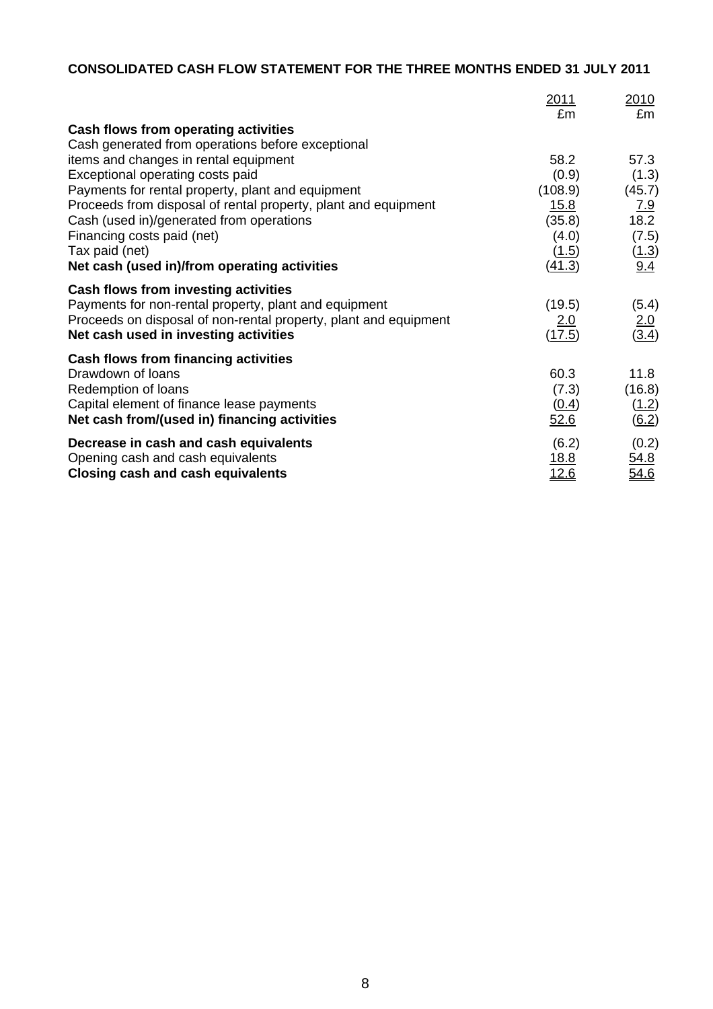# **CONSOLIDATED CASH FLOW STATEMENT FOR THE THREE MONTHS ENDED 31 JULY 2011**

|                                                                  | <u>2011</u> | <u> 2010</u>       |
|------------------------------------------------------------------|-------------|--------------------|
|                                                                  | £m          | £m                 |
| Cash flows from operating activities                             |             |                    |
| Cash generated from operations before exceptional                | 58.2        | 57.3               |
| items and changes in rental equipment                            |             |                    |
| Exceptional operating costs paid                                 | (0.9)       | (1.3)              |
| Payments for rental property, plant and equipment                | (108.9)     | (45.7)             |
| Proceeds from disposal of rental property, plant and equipment   | 15.8        | $\frac{7.9}{18.2}$ |
| Cash (used in)/generated from operations                         | (35.8)      |                    |
| Financing costs paid (net)                                       | (4.0)       | (7.5)              |
| Tax paid (net)                                                   | (1.5)       | (1.3)              |
| Net cash (used in)/from operating activities                     | (41.3)      | 9.4                |
| Cash flows from investing activities                             |             |                    |
| Payments for non-rental property, plant and equipment            | (19.5)      | (5.4)              |
| Proceeds on disposal of non-rental property, plant and equipment | 2.0         | 2.0                |
| Net cash used in investing activities                            | (17.5)      | (3.4)              |
| Cash flows from financing activities                             |             |                    |
| Drawdown of loans                                                | 60.3        | 11.8               |
| Redemption of loans                                              | (7.3)       | (16.8)             |
| Capital element of finance lease payments                        | (0.4)       | (1.2)              |
| Net cash from/(used in) financing activities                     | 52.6        | <u>(6.2)</u>       |
| Decrease in cash and cash equivalents                            | (6.2)       | (0.2)              |
|                                                                  |             |                    |
| Opening cash and cash equivalents                                | <u>18.8</u> | <u>54.8</u>        |
| Closing cash and cash equivalents                                | <u>12.6</u> | 54.6               |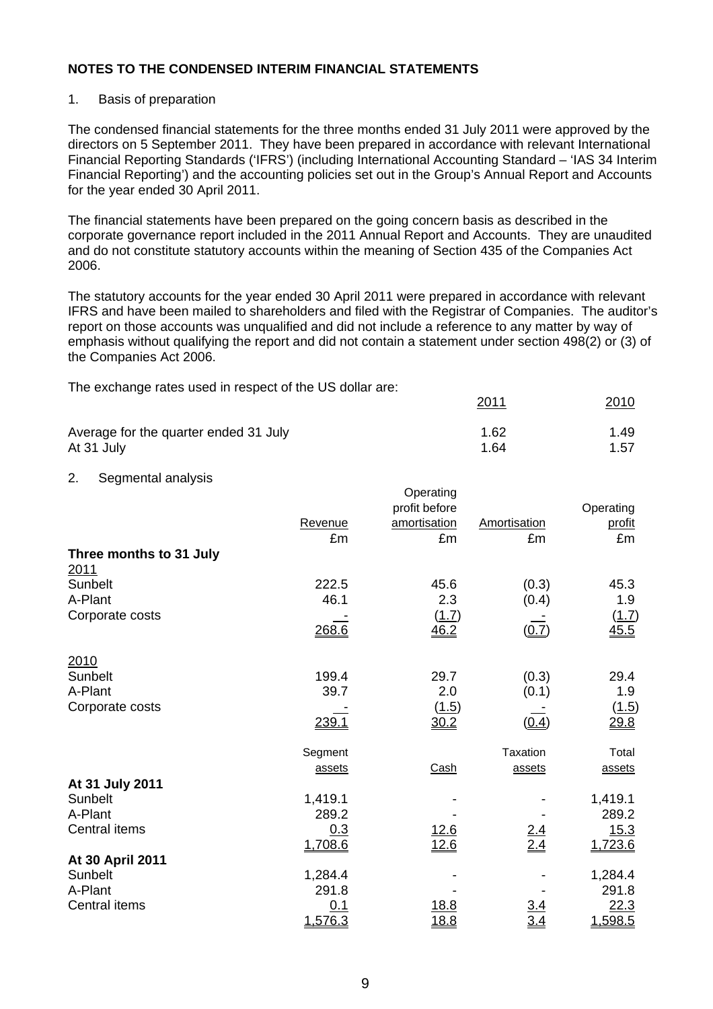#### 1. Basis of preparation

The condensed financial statements for the three months ended 31 July 2011 were approved by the directors on 5 September 2011. They have been prepared in accordance with relevant International Financial Reporting Standards ('IFRS') (including International Accounting Standard – 'IAS 34 Interim Financial Reporting') and the accounting policies set out in the Group's Annual Report and Accounts for the year ended 30 April 2011.

The financial statements have been prepared on the going concern basis as described in the corporate governance report included in the 2011 Annual Report and Accounts. They are unaudited and do not constitute statutory accounts within the meaning of Section 435 of the Companies Act 2006.

The statutory accounts for the year ended 30 April 2011 were prepared in accordance with relevant IFRS and have been mailed to shareholders and filed with the Registrar of Companies. The auditor's report on those accounts was unqualified and did not include a reference to any matter by way of emphasis without qualifying the report and did not contain a statement under section 498(2) or (3) of the Companies Act 2006.

2011 2010

The exchange rates used in respect of the US dollar are:

| Average for the quarter ended 31 July | 1.62 | 1.49 |
|---------------------------------------|------|------|
| At 31 July                            | 1.64 | 1.57 |

#### 2. Segmental analysis

|                                        |               | Operating          |                 |              |
|----------------------------------------|---------------|--------------------|-----------------|--------------|
|                                        |               | profit before      |                 | Operating    |
|                                        | Revenue       | amortisation<br>£m | Amortisation    | profit<br>£m |
|                                        | £m            |                    | £m              |              |
| Three months to 31 July<br><u>2011</u> |               |                    |                 |              |
| Sunbelt                                | 222.5         | 45.6               | (0.3)           | 45.3         |
| A-Plant                                | 46.1          | 2.3                | (0.4)           | 1.9          |
| Corporate costs                        |               | (1.7)              |                 | (1.7)        |
|                                        | 268.6         | 46.2               | (0.7)           | 45.5         |
|                                        |               |                    |                 |              |
| 2010                                   |               |                    |                 |              |
| Sunbelt                                | 199.4         | 29.7               | (0.3)           | 29.4         |
| A-Plant                                | 39.7          | 2.0                | (0.1)           | 1.9          |
| Corporate costs                        |               | (1.5)              |                 | (1.5)        |
|                                        | <u> 239.1</u> | 30.2               | (0.4)           | 29.8         |
|                                        |               |                    |                 |              |
|                                        | Segment       |                    | <b>Taxation</b> | Total        |
|                                        | assets        | Cash               | assets          | assets       |
| At 31 July 2011                        |               |                    |                 |              |
| Sunbelt                                | 1,419.1       |                    |                 | 1,419.1      |
| A-Plant                                | 289.2         |                    |                 | 289.2        |
| Central items                          | 0.3           | <u>12.6</u>        | <u>2.4</u>      | 15.3         |
|                                        | 1,708.6       | 12.6               | 2.4             | 1,723.6      |
| At 30 April 2011                       |               |                    |                 |              |
| Sunbelt                                | 1,284.4       |                    |                 | 1,284.4      |
| A-Plant                                | 291.8         |                    |                 | 291.8        |
| Central items                          | 0.1           | <u> 18.8</u>       |                 | 22.3         |
|                                        | 1,576.3       | <u>18.8</u>        | 3.4             | 1,598.5      |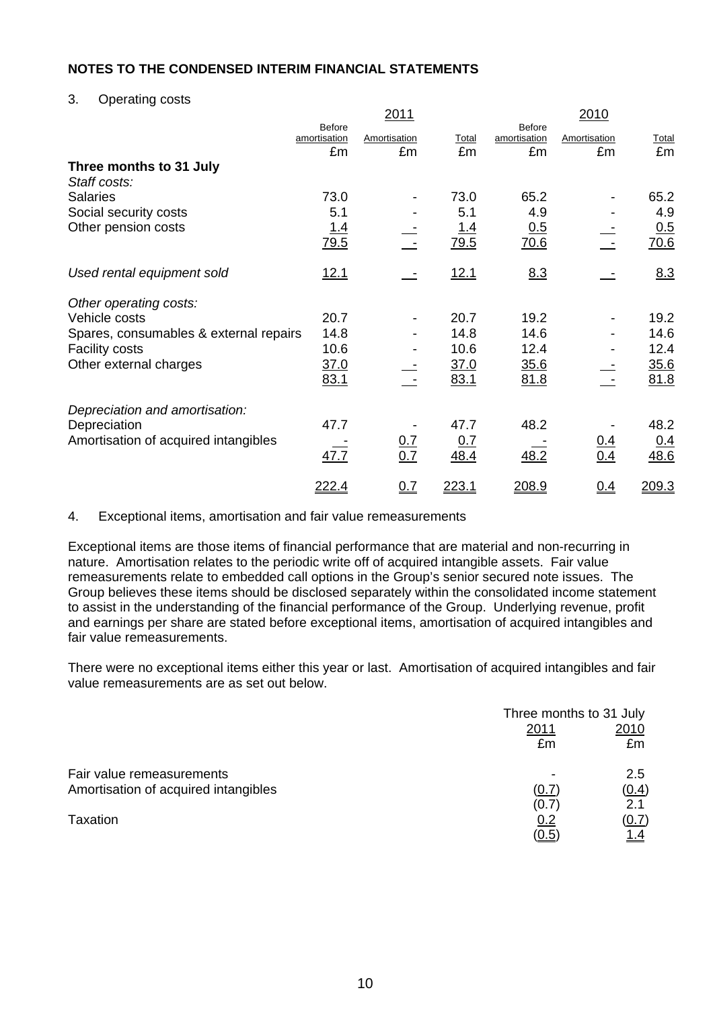3. Operating costs

|                                        |                                     | 2011               |               |                                     | 2010               |             |
|----------------------------------------|-------------------------------------|--------------------|---------------|-------------------------------------|--------------------|-------------|
|                                        | <b>Before</b><br>amortisation<br>£m | Amortisation<br>£m | Total<br>£m   | <b>Before</b><br>amortisation<br>£m | Amortisation<br>£m | Total<br>£m |
| Three months to 31 July                |                                     |                    |               |                                     |                    |             |
| Staff costs:                           |                                     |                    |               |                                     |                    |             |
| <b>Salaries</b>                        | 73.0                                |                    | 73.0          | 65.2                                |                    | 65.2        |
| Social security costs                  | 5.1                                 |                    | 5.1           | 4.9                                 |                    | 4.9         |
| Other pension costs                    | 1.4                                 |                    | 1.4           | 0.5                                 |                    | 0.5         |
|                                        | 79.5                                |                    | 79.5          | 70.6                                |                    | 70.6        |
| Used rental equipment sold             | <u>12.1</u>                         |                    | 12.1          | 8.3                                 |                    | 8.3         |
| Other operating costs:                 |                                     |                    |               |                                     |                    |             |
| Vehicle costs                          | 20.7                                |                    | 20.7          | 19.2                                |                    | 19.2        |
| Spares, consumables & external repairs | 14.8                                |                    | 14.8          | 14.6                                |                    | 14.6        |
| <b>Facility costs</b>                  | 10.6                                |                    | 10.6          | 12.4                                |                    | 12.4        |
| Other external charges                 | 37.0                                |                    | <u>37.0</u>   | <u>35.6</u>                         |                    | <u>35.6</u> |
|                                        | 83.1                                |                    | 83.1          | 81.8                                |                    | 81.8        |
| Depreciation and amortisation:         |                                     |                    |               |                                     |                    |             |
| Depreciation                           | 47.7                                |                    | 47.7          | 48.2                                |                    | 48.2        |
| Amortisation of acquired intangibles   |                                     | <u>0.7</u>         | 0.7           |                                     |                    | <u>0.4</u>  |
|                                        | 47.7                                | 0.7                | 48.4          | 48.2                                | $\frac{0.4}{0.4}$  | 48.6        |
|                                        | <u>222.4</u>                        | 0.7                | <u> 223.1</u> | <u> 208.9</u>                       | $Q_4$              | 209.3       |

4. Exceptional items, amortisation and fair value remeasurements

Exceptional items are those items of financial performance that are material and non-recurring in nature. Amortisation relates to the periodic write off of acquired intangible assets. Fair value remeasurements relate to embedded call options in the Group's senior secured note issues. The Group believes these items should be disclosed separately within the consolidated income statement to assist in the understanding of the financial performance of the Group. Underlying revenue, profit and earnings per share are stated before exceptional items, amortisation of acquired intangibles and fair value remeasurements.

There were no exceptional items either this year or last. Amortisation of acquired intangibles and fair value remeasurements are as set out below.

|                                      |       | Three months to 31 July |
|--------------------------------------|-------|-------------------------|
|                                      | 2011  | 2010                    |
|                                      | £m    | £m                      |
| Fair value remeasurements            |       | 2.5                     |
| Amortisation of acquired intangibles | (0.7) | (0.4)                   |
|                                      | (0.7) | 2.1                     |
| Taxation                             | 0.2   | (0.7)                   |
|                                      | (0.5) | <u> 1.4</u>             |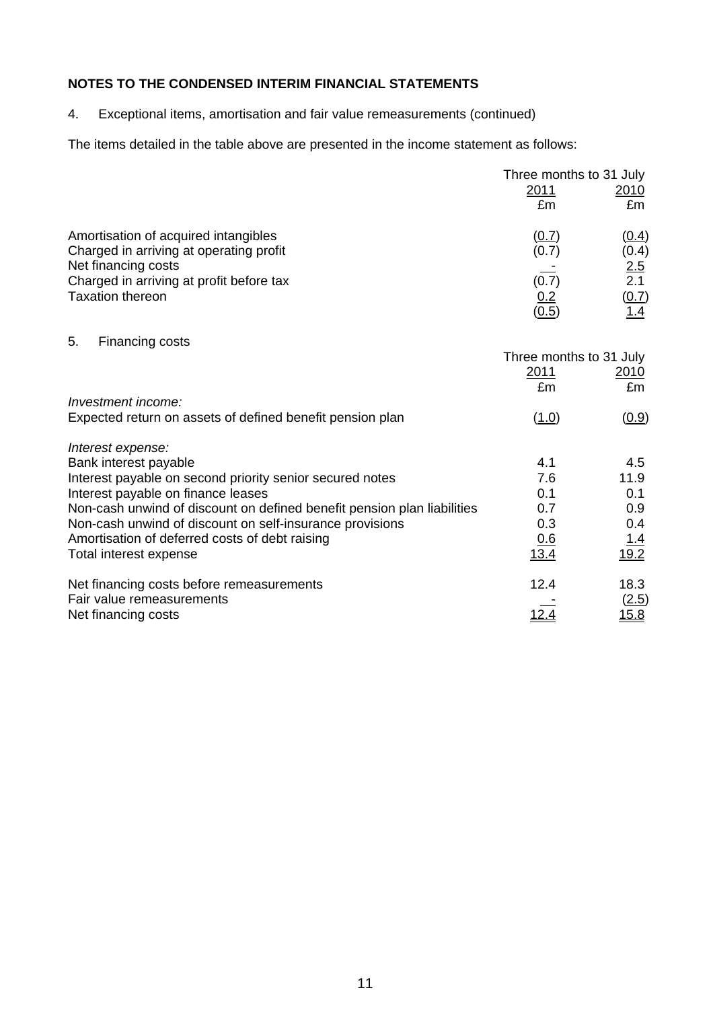4. Exceptional items, amortisation and fair value remeasurements (continued)

The items detailed in the table above are presented in the income statement as follows:

|                                                                                                                                                                               | Three months to 31 July        |                                       |
|-------------------------------------------------------------------------------------------------------------------------------------------------------------------------------|--------------------------------|---------------------------------------|
|                                                                                                                                                                               | <u>2011</u>                    | <u> 2010</u>                          |
|                                                                                                                                                                               | £m                             | £m                                    |
| Amortisation of acquired intangibles<br>Charged in arriving at operating profit<br>Net financing costs<br>Charged in arriving at profit before tax<br><b>Taxation thereon</b> | (0.7)<br>(0.7)<br>(0.7)<br>0.2 | (0.4)<br>(0.4)<br>2.5<br>2.1<br>(0.7) |
| 5.<br>Financing costs                                                                                                                                                         | (0.5)                          | <u>1.4</u>                            |

|                                                                         | Three months to 31 July |              |
|-------------------------------------------------------------------------|-------------------------|--------------|
|                                                                         | 2011                    | 2010         |
|                                                                         | £m                      | £m           |
| Investment income:                                                      |                         |              |
| Expected return on assets of defined benefit pension plan               | (1.0)                   | (0.9)        |
| Interest expense:                                                       |                         |              |
| Bank interest payable                                                   | 4.1                     | 4.5          |
| Interest payable on second priority senior secured notes                | 7.6                     | 11.9         |
| Interest payable on finance leases                                      | 0.1                     | 0.1          |
| Non-cash unwind of discount on defined benefit pension plan liabilities | 0.7                     | 0.9          |
| Non-cash unwind of discount on self-insurance provisions                | 0.3                     | 0.4          |
| Amortisation of deferred costs of debt raising                          | 0.6                     | 1.4          |
| Total interest expense                                                  | 13.4                    | 19.2         |
| Net financing costs before remeasurements                               | 12.4                    | 18.3         |
| Fair value remeasurements                                               |                         | (2.5)        |
| Net financing costs                                                     |                         | <u> 15.8</u> |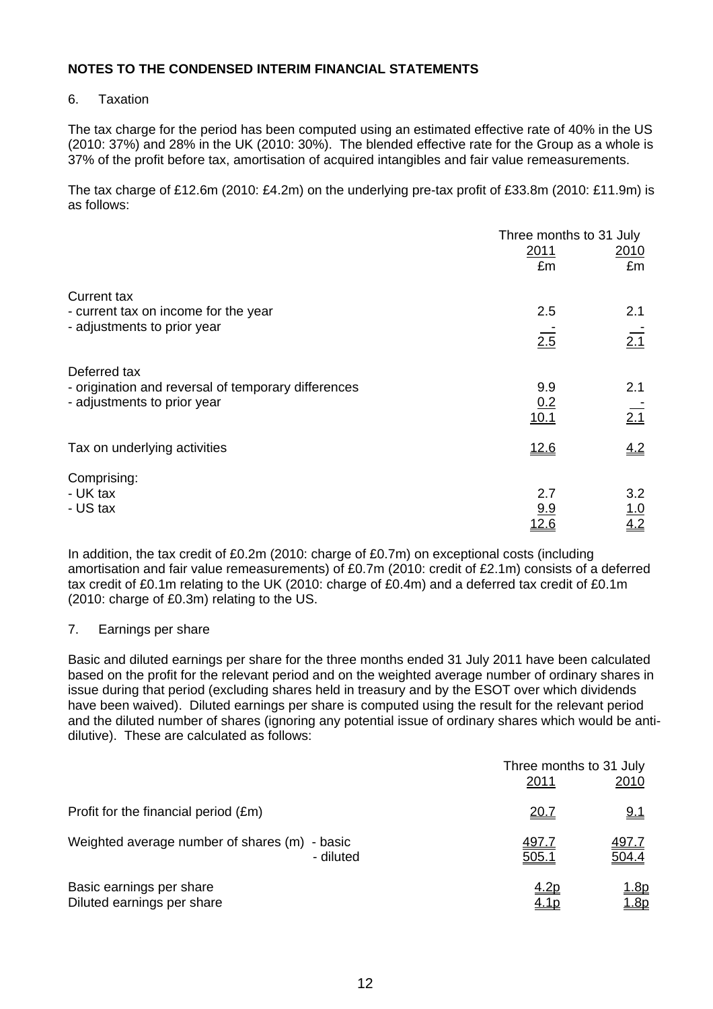## 6. Taxation

The tax charge for the period has been computed using an estimated effective rate of 40% in the US (2010: 37%) and 28% in the UK (2010: 30%). The blended effective rate for the Group as a whole is 37% of the profit before tax, amortisation of acquired intangibles and fair value remeasurements.

The tax charge of £12.6m (2010: £4.2m) on the underlying pre-tax profit of £33.8m (2010: £11.9m) is as follows:

|                                                                                                    | Three months to 31 July |                          |  |
|----------------------------------------------------------------------------------------------------|-------------------------|--------------------------|--|
|                                                                                                    | 2011<br>£m              | <u> 2010</u><br>£m       |  |
| <b>Current tax</b>                                                                                 |                         |                          |  |
| - current tax on income for the year                                                               | 2.5                     | 2.1                      |  |
| - adjustments to prior year                                                                        | 2.5                     | $\overline{2.1}$         |  |
| Deferred tax<br>- origination and reversal of temporary differences<br>- adjustments to prior year | 9.9<br>0.2<br>10.1      | 2.1<br>$\frac{1}{2.1}$   |  |
| Tax on underlying activities                                                                       | 12.6                    | 4.2                      |  |
| Comprising:<br>- UK tax<br>- US tax                                                                | 2.7<br>9.9<br>12.6      | 3.2<br><u>1.0</u><br>4.2 |  |

In addition, the tax credit of £0.2m (2010: charge of £0.7m) on exceptional costs (including amortisation and fair value remeasurements) of £0.7m (2010: credit of £2.1m) consists of a deferred tax credit of £0.1m relating to the UK (2010: charge of £0.4m) and a deferred tax credit of £0.1m (2010: charge of £0.3m) relating to the US.

#### 7. Earnings per share

Basic and diluted earnings per share for the three months ended 31 July 2011 have been calculated based on the profit for the relevant period and on the weighted average number of ordinary shares in issue during that period (excluding shares held in treasury and by the ESOT over which dividends have been waived). Diluted earnings per share is computed using the result for the relevant period and the diluted number of shares (ignoring any potential issue of ordinary shares which would be antidilutive). These are calculated as follows:

|                                                        |           | 2011                       | Three months to 31 July<br>2010    |
|--------------------------------------------------------|-----------|----------------------------|------------------------------------|
| Profit for the financial period (£m)                   |           | <u> 20.7</u>               | <u>9.1</u>                         |
| Weighted average number of shares (m) - basic          | - diluted | <u>497.7</u><br>505.1      | <u>497.7</u><br>504.4              |
| Basic earnings per share<br>Diluted earnings per share |           | <u>4.2p</u><br><u>4.1p</u> | <u> 1.8p</u><br>$\underline{1.8p}$ |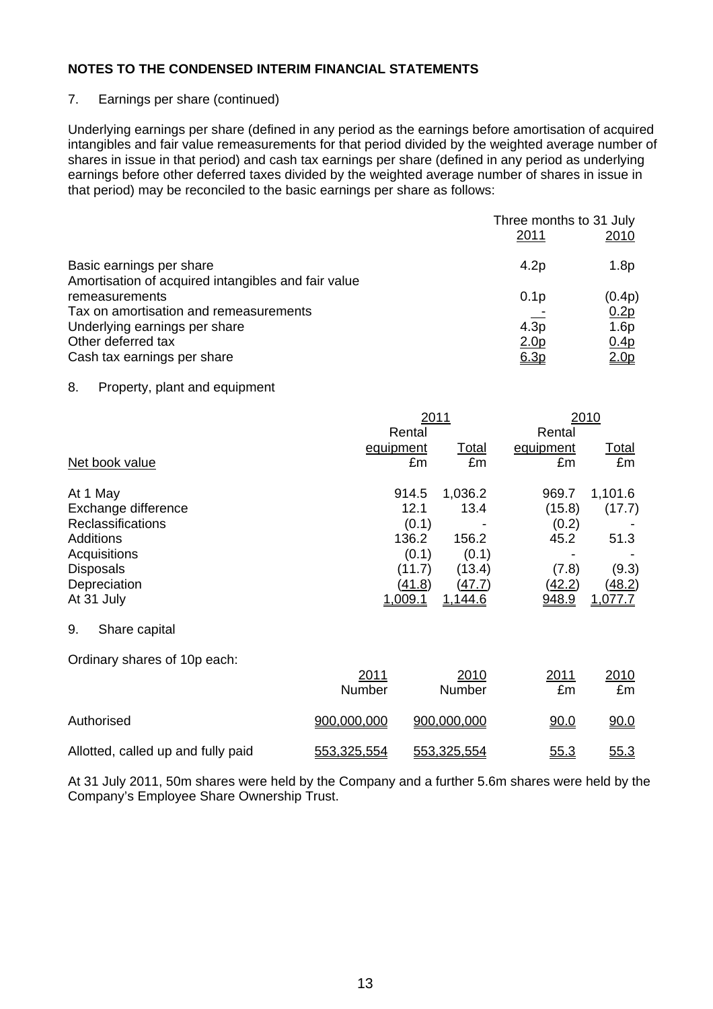## 7. Earnings per share (continued)

Underlying earnings per share (defined in any period as the earnings before amortisation of acquired intangibles and fair value remeasurements for that period divided by the weighted average number of shares in issue in that period) and cash tax earnings per share (defined in any period as underlying earnings before other deferred taxes divided by the weighted average number of shares in issue in that period) may be reconciled to the basic earnings per share as follows:

|                                                                                 | Three months to 31 July<br>2011 | 2010             |
|---------------------------------------------------------------------------------|---------------------------------|------------------|
| Basic earnings per share<br>Amortisation of acquired intangibles and fair value | 4.2p                            | 1.8p             |
| remeasurements                                                                  | 0.1 <sub>p</sub>                | (0.4p)           |
| Tax on amortisation and remeasurements                                          |                                 | 0.2p             |
| Underlying earnings per share                                                   | 4.3p                            | 1.6p             |
| Other deferred tax                                                              | <u>2.0p</u>                     | 0.4 <sub>p</sub> |
| Cash tax earnings per share                                                     | 6.3p                            | 2.0 <sub>p</sub> |

#### 8. Property, plant and equipment

|                                                                                                                                                   | 2011<br>Rental                                                                 |                                                                                | 2010<br>Rental                                                             |                                                         |
|---------------------------------------------------------------------------------------------------------------------------------------------------|--------------------------------------------------------------------------------|--------------------------------------------------------------------------------|----------------------------------------------------------------------------|---------------------------------------------------------|
| Net book value                                                                                                                                    | equipment<br>£m                                                                | <b>Total</b><br>£m                                                             | equipment<br>£m                                                            | <u>Total</u><br>£m                                      |
| At 1 May<br>Exchange difference<br><b>Reclassifications</b><br><b>Additions</b><br>Acquisitions<br><b>Disposals</b><br>Depreciation<br>At 31 July | 914.5<br>12.1<br>(0.1)<br>136.2<br>(0.1)<br>(11.7)<br>(41.8)<br><u>1,009.1</u> | 1,036.2<br>13.4<br>156.2<br>(0.1)<br>(13.4)<br><u>(47.7)</u><br><u>1,144.6</u> | 969.7<br>(15.8)<br>(0.2)<br>45.2<br>(7.8)<br><u>(42.2)</u><br><u>948.9</u> | 1,101.6<br>(17.7)<br>51.3<br>(9.3)<br>(48.2)<br>1,077.7 |
| 9.<br>Share capital                                                                                                                               |                                                                                |                                                                                |                                                                            |                                                         |
| Ordinary shares of 10p each:                                                                                                                      | 2011<br>Number                                                                 | 2010<br>Number                                                                 | 2011<br>£m                                                                 | 2010<br>£m                                              |
| Authorised                                                                                                                                        | 900,000,000                                                                    | 900,000,000                                                                    | 90.0                                                                       | 90.0                                                    |
| Allotted, called up and fully paid                                                                                                                | 553,325,554                                                                    | 553,325,554                                                                    | 55.3                                                                       | 55.3                                                    |

At 31 July 2011, 50m shares were held by the Company and a further 5.6m shares were held by the Company's Employee Share Ownership Trust.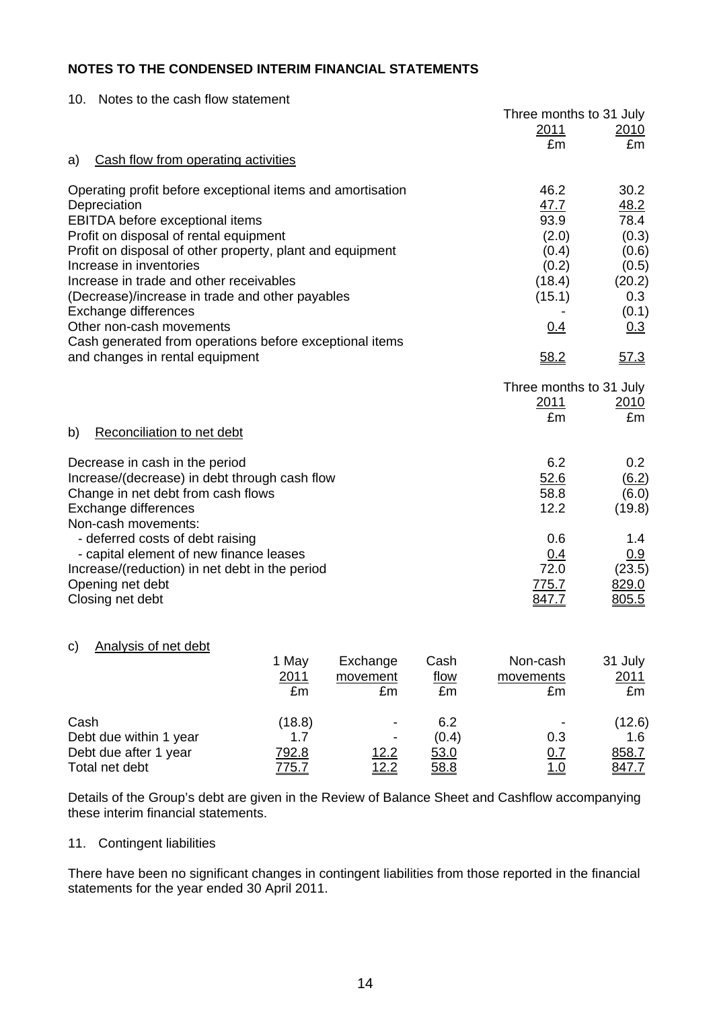| 10. Notes to the cash flow statement |
|--------------------------------------|
|                                      |

|                                                            |       |          |      | Three months to 31 July |                     |
|------------------------------------------------------------|-------|----------|------|-------------------------|---------------------|
|                                                            |       |          |      | 2011                    | 2010                |
|                                                            |       |          |      | £m                      | £m                  |
| Cash flow from operating activities<br>a)                  |       |          |      |                         |                     |
| Operating profit before exceptional items and amortisation |       |          |      | 46.2                    | 30.2                |
| Depreciation                                               |       |          |      | 47.7                    | 48.2                |
| EBITDA before exceptional items                            |       |          |      | 93.9                    | 78.4                |
| Profit on disposal of rental equipment                     |       |          |      | (2.0)                   | (0.3)               |
| Profit on disposal of other property, plant and equipment  |       |          |      | (0.4)                   | (0.6)               |
| Increase in inventories                                    |       |          |      | (0.2)                   | (0.5)               |
| Increase in trade and other receivables                    |       |          |      | (18.4)                  | (20.2)              |
| (Decrease)/increase in trade and other payables            |       |          |      | (15.1)                  | 0.3                 |
| Exchange differences                                       |       |          |      |                         | (0.1)               |
| Other non-cash movements                                   |       |          |      | 0.4                     | 0.3                 |
| Cash generated from operations before exceptional items    |       |          |      |                         |                     |
| and changes in rental equipment                            |       |          |      | 58.2                    | 57.3                |
|                                                            |       |          |      | Three months to 31 July |                     |
|                                                            |       |          |      | <u>2011</u>             | 2010                |
|                                                            |       |          |      | £m                      | £m                  |
| b)<br>Reconciliation to net debt                           |       |          |      |                         |                     |
| Decrease in cash in the period                             |       |          |      | 6.2                     | 0.2                 |
| Increase/(decrease) in debt through cash flow              |       |          |      | 52.6                    | $\underline{(6.2)}$ |
| Change in net debt from cash flows                         |       |          |      | 58.8                    | (6.0)               |
| Exchange differences                                       |       |          |      | 12.2                    | (19.8)              |
| Non-cash movements:                                        |       |          |      |                         |                     |
| - deferred costs of debt raising                           |       |          |      | 0.6                     | 1.4                 |
| - capital element of new finance leases                    |       |          |      | 0.4                     | 0.9                 |
| Increase/(reduction) in net debt in the period             |       |          |      | 72.0                    | (23.5)              |
| Opening net debt                                           |       |          |      | 775.7                   | 829.0               |
| Closing net debt                                           |       |          |      | 847.7                   | 805.5               |
|                                                            |       |          |      |                         |                     |
| <b>Analysis of net debt</b><br>C)                          |       |          |      |                         |                     |
|                                                            | 1 May | Exchange | Cash | Non-cash                | 31 July             |
|                                                            | 2011  | movement | flow | movements               | 2011                |

|                        | £m           | £m           | £m    | £m                       | £m           |
|------------------------|--------------|--------------|-------|--------------------------|--------------|
| Cash                   | (18.8)       |              | 6.2   | $\overline{\phantom{a}}$ | (12.6)       |
| Debt due within 1 year | 1.7          |              | (0.4) | 0.3                      | 1.6          |
| Debt due after 1 year  | <u>792.8</u> | <u> 12.2</u> | 53.0  | <u>0.7</u>               | <u>858.7</u> |
| Total net debt         | 775.7        | <u> 12.2</u> | 58.8  | <u>1.0</u>               | 847.7        |

Details of the Group's debt are given in the Review of Balance Sheet and Cashflow accompanying these interim financial statements.

#### 11. Contingent liabilities

There have been no significant changes in contingent liabilities from those reported in the financial statements for the year ended 30 April 2011.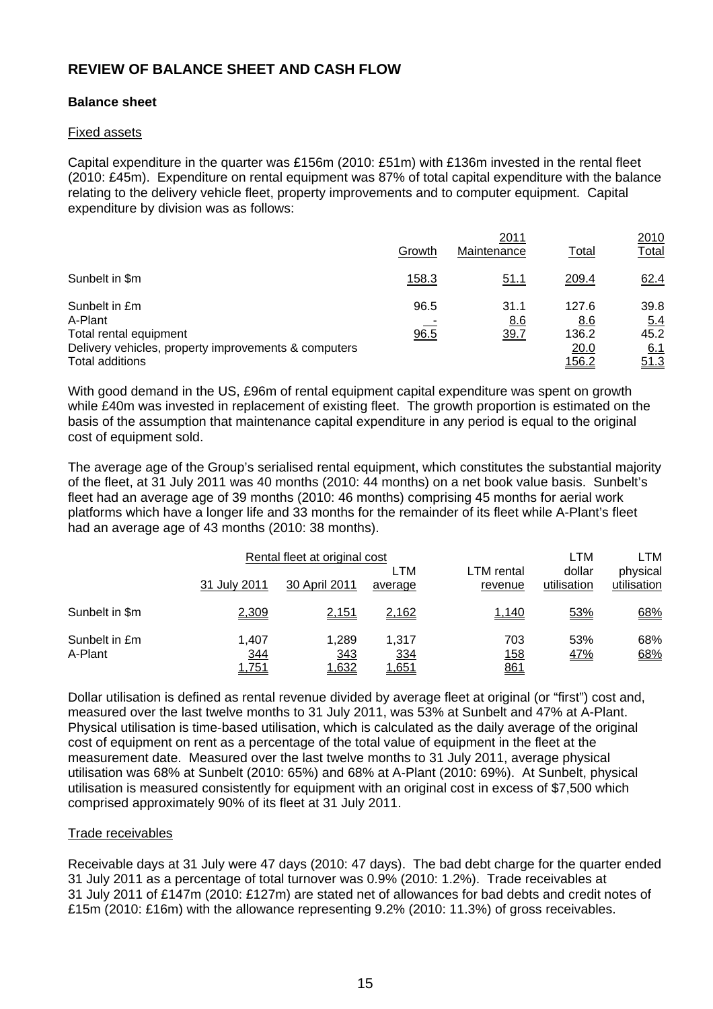# **REVIEW OF BALANCE SHEET AND CASH FLOW**

#### **Balance sheet**

#### Fixed assets

Capital expenditure in the quarter was £156m (2010: £51m) with £136m invested in the rental fleet (2010: £45m). Expenditure on rental equipment was 87% of total capital expenditure with the balance relating to the delivery vehicle fleet, property improvements and to computer equipment. Capital expenditure by division was as follows:

|                                                      |              | 2010                |               |              |
|------------------------------------------------------|--------------|---------------------|---------------|--------------|
|                                                      | Growth       | 2011<br>Maintenance | Total         | <u>Total</u> |
| Sunbelt in \$m                                       | <u>158.3</u> | 51.1                | <u> 209.4</u> | 62.4         |
| Sunbelt in £m                                        | 96.5         | 31.1                | 127.6         | 39.8         |
| A-Plant                                              |              | 8.6                 | 8.6           | 5.4          |
| Total rental equipment                               | 96.5         | <u>39.7</u>         | 136.2         | 45.2         |
| Delivery vehicles, property improvements & computers |              |                     | 20.0          | <u>6.1</u>   |
| Total additions                                      |              |                     | <u> 156.2</u> | 51.3         |

With good demand in the US, £96m of rental equipment capital expenditure was spent on growth while £40m was invested in replacement of existing fleet. The growth proportion is estimated on the basis of the assumption that maintenance capital expenditure in any period is equal to the original cost of equipment sold.

The average age of the Group's serialised rental equipment, which constitutes the substantial majority of the fleet, at 31 July 2011 was 40 months (2010: 44 months) on a net book value basis. Sunbelt's fleet had an average age of 39 months (2010: 46 months) comprising 45 months for aerial work platforms which have a longer life and 33 months for the remainder of its fleet while A-Plant's fleet had an average age of 43 months (2010: 38 months).

|                          | 31 July 2011                 | Rental fleet at original cost<br>30 April 2011 | LTM<br>average                      | LTM rental<br>revenue           | LTM<br>dollar<br>utilisation | LTM<br>physical<br>utilisation |
|--------------------------|------------------------------|------------------------------------------------|-------------------------------------|---------------------------------|------------------------------|--------------------------------|
| Sunbelt in \$m           | 2,309                        | 2,151                                          | 2,162                               | 1,140                           | 53%                          | 68%                            |
| Sunbelt in £m<br>A-Plant | 1.407<br><u>344</u><br>1,751 | 1.289<br>343<br>1,632                          | 1,317<br><u>334</u><br><u>1,651</u> | 703<br><u>158</u><br><u>861</u> | 53%<br><u>47%</u>            | 68%<br>68%                     |

Dollar utilisation is defined as rental revenue divided by average fleet at original (or "first") cost and, measured over the last twelve months to 31 July 2011, was 53% at Sunbelt and 47% at A-Plant. Physical utilisation is time-based utilisation, which is calculated as the daily average of the original cost of equipment on rent as a percentage of the total value of equipment in the fleet at the measurement date. Measured over the last twelve months to 31 July 2011, average physical utilisation was 68% at Sunbelt (2010: 65%) and 68% at A-Plant (2010: 69%). At Sunbelt, physical utilisation is measured consistently for equipment with an original cost in excess of \$7,500 which comprised approximately 90% of its fleet at 31 July 2011.

#### Trade receivables

Receivable days at 31 July were 47 days (2010: 47 days). The bad debt charge for the quarter ended 31 July 2011 as a percentage of total turnover was 0.9% (2010: 1.2%). Trade receivables at 31 July 2011 of £147m (2010: £127m) are stated net of allowances for bad debts and credit notes of £15m (2010: £16m) with the allowance representing 9.2% (2010: 11.3%) of gross receivables.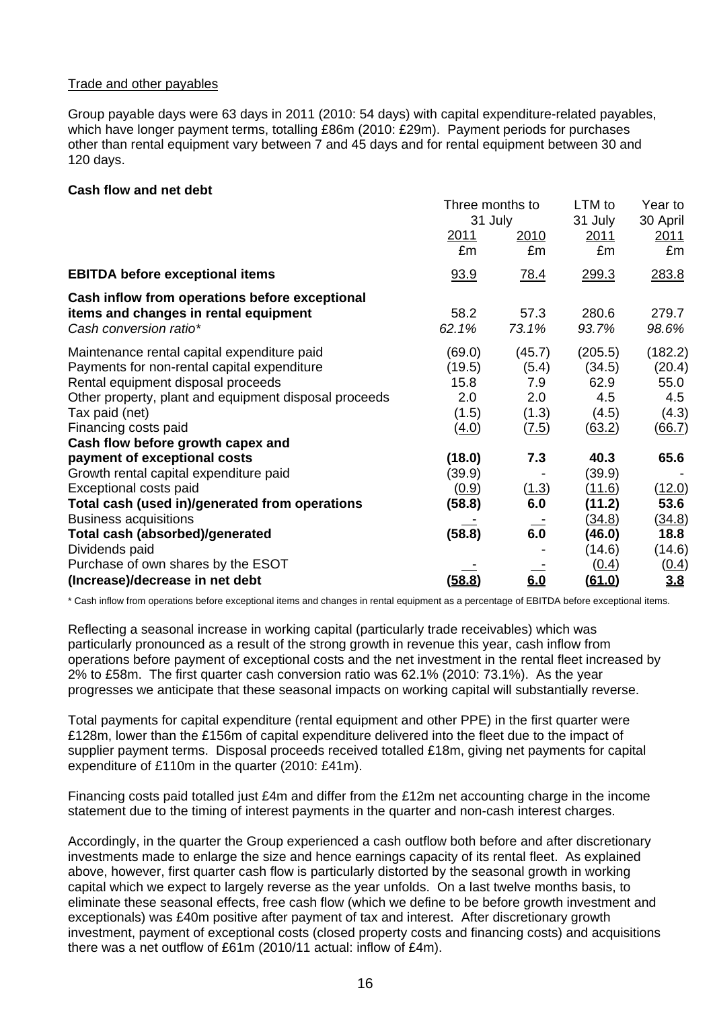#### Trade and other payables

Group payable days were 63 days in 2011 (2010: 54 days) with capital expenditure-related payables, which have longer payment terms, totalling £86m (2010: £29m). Payment periods for purchases other than rental equipment vary between 7 and 45 days and for rental equipment between 30 and 120 days.

#### **Cash flow and net debt**

|                                                                                                                   | Three months to<br>31 July |               | LTM to<br>31 July | Year to<br>30 April |  |
|-------------------------------------------------------------------------------------------------------------------|----------------------------|---------------|-------------------|---------------------|--|
|                                                                                                                   | 2011<br>£m                 | 2010<br>£m    | 2011<br>£m        | 2011<br>£m          |  |
| <b>EBITDA before exceptional items</b>                                                                            | 93.9                       | 78.4          | 299.3             | 283.8               |  |
| Cash inflow from operations before exceptional<br>items and changes in rental equipment<br>Cash conversion ratio* | 58.2<br>62.1%              | 57.3<br>73.1% | 280.6<br>93.7%    | 279.7<br>98.6%      |  |
| Maintenance rental capital expenditure paid                                                                       | (69.0)                     | (45.7)        | (205.5)           | (182.2)             |  |
| Payments for non-rental capital expenditure                                                                       | (19.5)<br>15.8             | (5.4)<br>7.9  | (34.5)<br>62.9    | (20.4)<br>55.0      |  |
| Rental equipment disposal proceeds<br>Other property, plant and equipment disposal proceeds                       | 2.0                        | 2.0           | 4.5               | 4.5                 |  |
| Tax paid (net)                                                                                                    | (1.5)                      | (1.3)         | (4.5)             | (4.3)               |  |
| Financing costs paid                                                                                              | (4.0)                      | (7.5)         | (63.2)            | (66.7)              |  |
| Cash flow before growth capex and                                                                                 |                            |               |                   |                     |  |
| payment of exceptional costs                                                                                      | (18.0)                     | 7.3           | 40.3              | 65.6                |  |
| Growth rental capital expenditure paid                                                                            | (39.9)                     |               | (39.9)            |                     |  |
| Exceptional costs paid                                                                                            | (0.9)                      | (1.3)         | (11.6)            | (12.0)              |  |
| Total cash (used in)/generated from operations                                                                    | (58.8)                     | 6.0           | (11.2)            | 53.6                |  |
| <b>Business acquisitions</b>                                                                                      |                            |               | <u>(34.8)</u>     | (34.8)              |  |
| Total cash (absorbed)/generated                                                                                   | (58.8)                     | 6.0           | (46.0)            | 18.8                |  |
| Dividends paid                                                                                                    |                            |               | (14.6)            | (14.6)              |  |
| Purchase of own shares by the ESOT                                                                                |                            |               | (0.4)             | (0.4)               |  |
| (Increase)/decrease in net debt                                                                                   | (58.8)                     | 6.0           | <u>(61.0)</u>     | 3.8                 |  |

\* Cash inflow from operations before exceptional items and changes in rental equipment as a percentage of EBITDA before exceptional items.

Reflecting a seasonal increase in working capital (particularly trade receivables) which was particularly pronounced as a result of the strong growth in revenue this year, cash inflow from operations before payment of exceptional costs and the net investment in the rental fleet increased by 2% to £58m. The first quarter cash conversion ratio was 62.1% (2010: 73.1%). As the year progresses we anticipate that these seasonal impacts on working capital will substantially reverse.

Total payments for capital expenditure (rental equipment and other PPE) in the first quarter were £128m, lower than the £156m of capital expenditure delivered into the fleet due to the impact of supplier payment terms. Disposal proceeds received totalled £18m, giving net payments for capital expenditure of £110m in the quarter (2010: £41m).

Financing costs paid totalled just £4m and differ from the £12m net accounting charge in the income statement due to the timing of interest payments in the quarter and non-cash interest charges.

Accordingly, in the quarter the Group experienced a cash outflow both before and after discretionary investments made to enlarge the size and hence earnings capacity of its rental fleet. As explained above, however, first quarter cash flow is particularly distorted by the seasonal growth in working capital which we expect to largely reverse as the year unfolds. On a last twelve months basis, to eliminate these seasonal effects, free cash flow (which we define to be before growth investment and exceptionals) was £40m positive after payment of tax and interest. After discretionary growth investment, payment of exceptional costs (closed property costs and financing costs) and acquisitions there was a net outflow of £61m (2010/11 actual: inflow of £4m).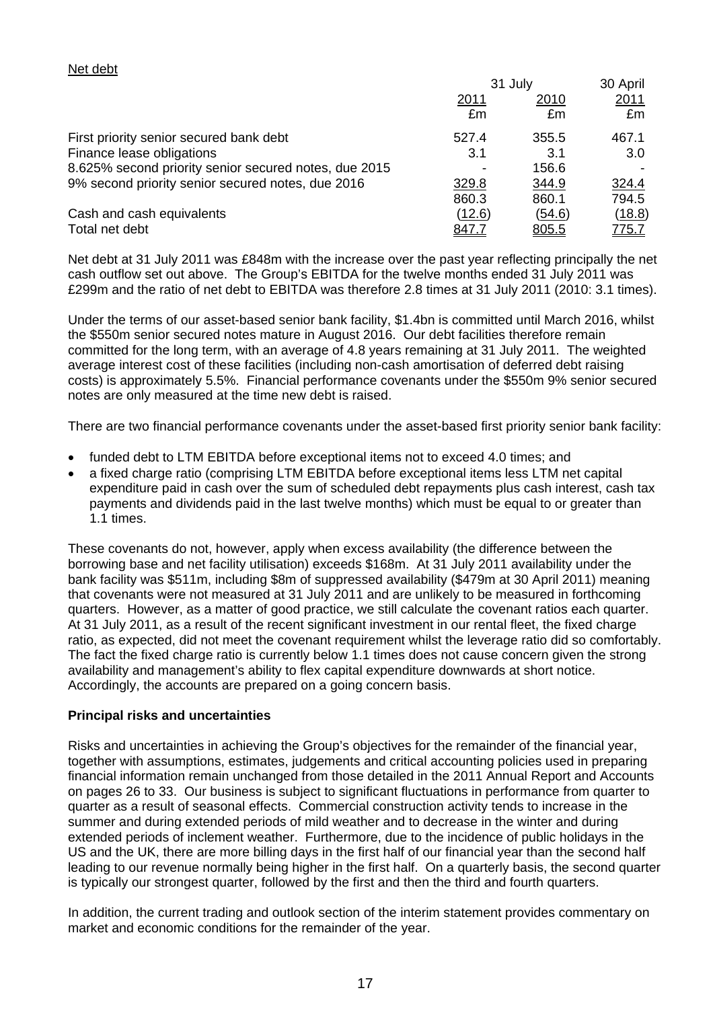#### Net debt

|                                                       | 31 July      |               | 30 April     |  |
|-------------------------------------------------------|--------------|---------------|--------------|--|
|                                                       | <u>2011</u>  | <u>2010</u>   | <u>2011</u>  |  |
|                                                       | £m           | £m            | £m           |  |
| First priority senior secured bank debt               | 527.4        | 355.5         | 467.1        |  |
| Finance lease obligations                             | 3.1          | 3.1           | 3.0          |  |
| 8.625% second priority senior secured notes, due 2015 |              | 156.6         |              |  |
| 9% second priority senior secured notes, due 2016     | 329.8        | 344.9         | 324.4        |  |
|                                                       | 860.3        | 860.1         | 794.5        |  |
| Cash and cash equivalents                             | (12.6)       | <u>(54.6)</u> | (18.8)       |  |
| Total net debt                                        | <u>847.7</u> | 805.5         | <u>775.7</u> |  |

Net debt at 31 July 2011 was £848m with the increase over the past year reflecting principally the net cash outflow set out above. The Group's EBITDA for the twelve months ended 31 July 2011 was £299m and the ratio of net debt to EBITDA was therefore 2.8 times at 31 July 2011 (2010: 3.1 times).

Under the terms of our asset-based senior bank facility, \$1.4bn is committed until March 2016, whilst the \$550m senior secured notes mature in August 2016. Our debt facilities therefore remain committed for the long term, with an average of 4.8 years remaining at 31 July 2011. The weighted average interest cost of these facilities (including non-cash amortisation of deferred debt raising costs) is approximately 5.5%. Financial performance covenants under the \$550m 9% senior secured notes are only measured at the time new debt is raised.

There are two financial performance covenants under the asset-based first priority senior bank facility:

- funded debt to LTM EBITDA before exceptional items not to exceed 4.0 times; and
- a fixed charge ratio (comprising LTM EBITDA before exceptional items less LTM net capital expenditure paid in cash over the sum of scheduled debt repayments plus cash interest, cash tax payments and dividends paid in the last twelve months) which must be equal to or greater than 1.1 times.

These covenants do not, however, apply when excess availability (the difference between the borrowing base and net facility utilisation) exceeds \$168m. At 31 July 2011 availability under the bank facility was \$511m, including \$8m of suppressed availability (\$479m at 30 April 2011) meaning that covenants were not measured at 31 July 2011 and are unlikely to be measured in forthcoming quarters. However, as a matter of good practice, we still calculate the covenant ratios each quarter. At 31 July 2011, as a result of the recent significant investment in our rental fleet, the fixed charge ratio, as expected, did not meet the covenant requirement whilst the leverage ratio did so comfortably. The fact the fixed charge ratio is currently below 1.1 times does not cause concern given the strong availability and management's ability to flex capital expenditure downwards at short notice. Accordingly, the accounts are prepared on a going concern basis.

#### **Principal risks and uncertainties**

Risks and uncertainties in achieving the Group's objectives for the remainder of the financial year, together with assumptions, estimates, judgements and critical accounting policies used in preparing financial information remain unchanged from those detailed in the 2011 Annual Report and Accounts on pages 26 to 33. Our business is subject to significant fluctuations in performance from quarter to quarter as a result of seasonal effects. Commercial construction activity tends to increase in the summer and during extended periods of mild weather and to decrease in the winter and during extended periods of inclement weather. Furthermore, due to the incidence of public holidays in the US and the UK, there are more billing days in the first half of our financial year than the second half leading to our revenue normally being higher in the first half. On a quarterly basis, the second quarter is typically our strongest quarter, followed by the first and then the third and fourth quarters.

In addition, the current trading and outlook section of the interim statement provides commentary on market and economic conditions for the remainder of the year.